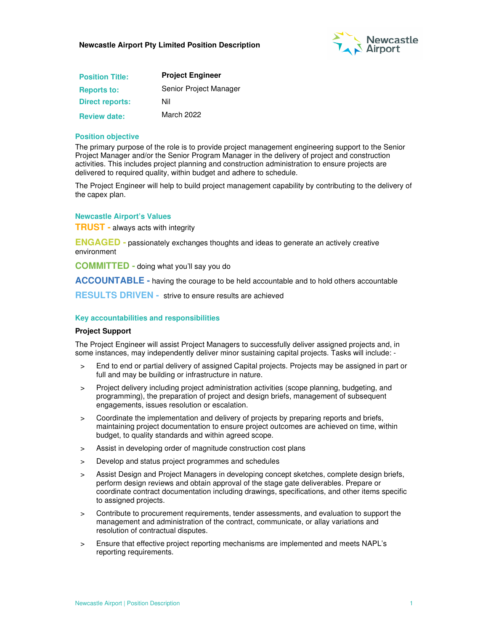

| <b>Position Title:</b> | <b>Project Engineer</b> |  |
|------------------------|-------------------------|--|
| <b>Reports to:</b>     | Senior Project Manager  |  |
| <b>Direct reports:</b> | Nil                     |  |
| <b>Review date:</b>    | March 2022              |  |

#### **Position objective**

The primary purpose of the role is to provide project management engineering support to the Senior Project Manager and/or the Senior Program Manager in the delivery of project and construction activities. This includes project planning and construction administration to ensure projects are delivered to required quality, within budget and adhere to schedule.

The Project Engineer will help to build project management capability by contributing to the delivery of the capex plan.

**Newcastle Airport's Values** 

**TRUST -** always acts with integrity

**ENGAGED -** passionately exchanges thoughts and ideas to generate an actively creative environment

**COMMITTED -** doing what you'll say you do

**ACCOUNTABLE -** having the courage to be held accountable and to hold others accountable

**RESULTS DRIVEN -** strive to ensure results are achieved

## **Key accountabilities and responsibilities**

#### **Project Support**

The Project Engineer will assist Project Managers to successfully deliver assigned projects and, in some instances, may independently deliver minor sustaining capital projects. Tasks will include: -

- > End to end or partial delivery of assigned Capital projects. Projects may be assigned in part or full and may be building or infrastructure in nature.
- > Project delivery including project administration activities (scope planning, budgeting, and programming), the preparation of project and design briefs, management of subsequent engagements, issues resolution or escalation.
- > Coordinate the implementation and delivery of projects by preparing reports and briefs, maintaining project documentation to ensure project outcomes are achieved on time, within budget, to quality standards and within agreed scope.
- > Assist in developing order of magnitude construction cost plans
- Develop and status project programmes and schedules
- > Assist Design and Project Managers in developing concept sketches, complete design briefs, perform design reviews and obtain approval of the stage gate deliverables. Prepare or coordinate contract documentation including drawings, specifications, and other items specific to assigned projects.
- > Contribute to procurement requirements, tender assessments, and evaluation to support the management and administration of the contract, communicate, or allay variations and resolution of contractual disputes.
- > Ensure that effective project reporting mechanisms are implemented and meets NAPL's reporting requirements.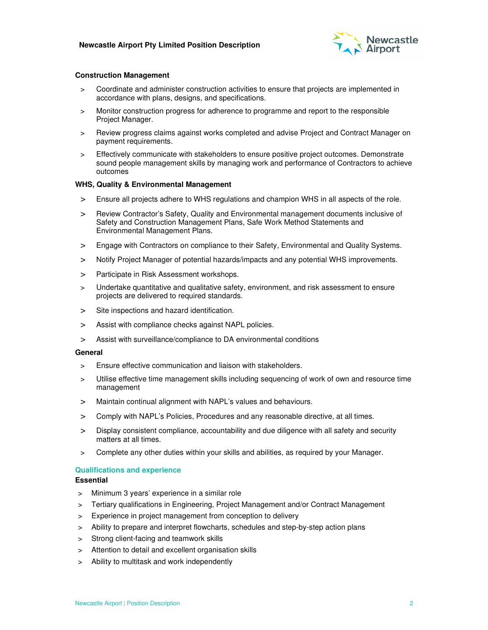

#### **Construction Management**

- > Coordinate and administer construction activities to ensure that projects are implemented in accordance with plans, designs, and specifications.
- > Monitor construction progress for adherence to programme and report to the responsible Project Manager.
- > Review progress claims against works completed and advise Project and Contract Manager on payment requirements.
- > Effectively communicate with stakeholders to ensure positive project outcomes. Demonstrate sound people management skills by managing work and performance of Contractors to achieve outcomes

#### **WHS, Quality & Environmental Management**

- > Ensure all projects adhere to WHS regulations and champion WHS in all aspects of the role.
- > Review Contractor's Safety, Quality and Environmental management documents inclusive of Safety and Construction Management Plans, Safe Work Method Statements and Environmental Management Plans.
- > Engage with Contractors on compliance to their Safety, Environmental and Quality Systems.
- > Notify Project Manager of potential hazards/impacts and any potential WHS improvements.
- > Participate in Risk Assessment workshops.
- Undertake quantitative and qualitative safety, environment, and risk assessment to ensure projects are delivered to required standards.
- > Site inspections and hazard identification.
- > Assist with compliance checks against NAPL policies.
- > Assist with surveillance/compliance to DA environmental conditions

#### **General**

- > Ensure effective communication and liaison with stakeholders.
- > Utilise effective time management skills including sequencing of work of own and resource time management
- > Maintain continual alignment with NAPL's values and behaviours.
- > Comply with NAPL's Policies, Procedures and any reasonable directive, at all times.
- > Display consistent compliance, accountability and due diligence with all safety and security matters at all times.
- Complete any other duties within your skills and abilities, as required by your Manager.

#### **Qualifications and experience**

#### **Essential**

- > Minimum 3 years' experience in a similar role
- > Tertiary qualifications in Engineering, Project Management and/or Contract Management
- > Experience in project management from conception to delivery
- > Ability to prepare and interpret flowcharts, schedules and step-by-step action plans
- > Strong client-facing and teamwork skills
- > Attention to detail and excellent organisation skills
- > Ability to multitask and work independently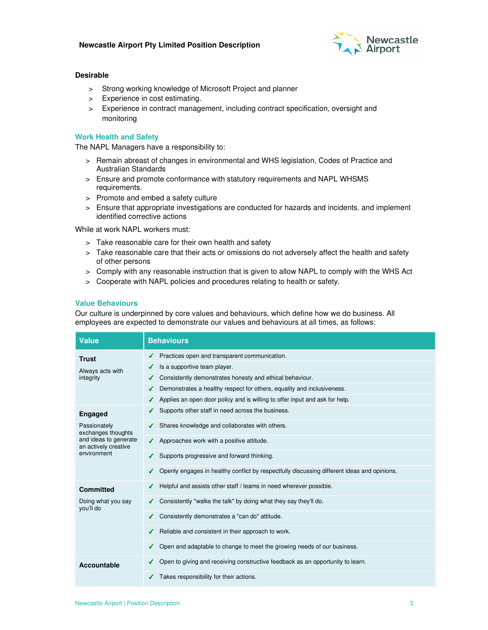

## **Desirable**

- > Strong working knowledge of Microsoft Project and planner
- > Experience in cost estimating.
- > Experience in contract management, including contract specification, oversight and monitoring

# **Work Health and Safety**

The NAPL Managers have a responsibility to:

- > Remain abreast of changes in environmental and WHS legislation, Codes of Practice and Australian Standards
- > Ensure and promote conformance with statutory requirements and NAPL WHSMS requirements.
- > Promote and embed a safety culture
- > Ensure that appropriate investigations are conducted for hazards and incidents, and implement identified corrective actions

While at work NAPL workers must:

- > Take reasonable care for their own health and safety
- > Take reasonable care that their acts or omissions do not adversely affect the health and safety of other persons
- > Comply with any reasonable instruction that is given to allow NAPL to comply with the WHS Act
- > Cooperate with NAPL policies and procedures relating to health or safety.

## **Value Behaviours**

Our culture is underpinned by core values and behaviours, which define how we do business. All employees are expected to demonstrate our values and behaviours at all times, as follows:

| <b>Value</b>                                                                                                         | <b>Behaviours</b>                                                                           |  |  |
|----------------------------------------------------------------------------------------------------------------------|---------------------------------------------------------------------------------------------|--|--|
| <b>Trust</b><br>Always acts with<br>integrity                                                                        | $\checkmark$ Practices open and transparent communication.                                  |  |  |
|                                                                                                                      | Is a supportive team player.<br>∢                                                           |  |  |
|                                                                                                                      | ← Consistently demonstrates honesty and ethical behaviour.                                  |  |  |
|                                                                                                                      | Demonstrates a healthy respect for others, equality and inclusiveness.                      |  |  |
|                                                                                                                      | $\checkmark$ Applies an open door policy and is willing to offer input and ask for help.    |  |  |
| <b>Engaged</b><br>Passionately<br>exchanges thoughts<br>and ideas to generate<br>an actively creative<br>environment | Supports other staff in need across the business.                                           |  |  |
|                                                                                                                      | Shares knowledge and collaborates with others.                                              |  |  |
|                                                                                                                      | Approaches work with a positive attitude.<br>✔                                              |  |  |
|                                                                                                                      | Supports progressive and forward thinking.                                                  |  |  |
|                                                                                                                      | Openly engages in healthy conflict by respectfully discussing different ideas and opinions. |  |  |
| <b>Committed</b><br>Doing what you say<br>you'll do                                                                  | Helpful and assists other staff / teams in need wherever possible.                          |  |  |
|                                                                                                                      | Consistently "walks the talk" by doing what they say they'll do.                            |  |  |
|                                                                                                                      | Consistently demonstrates a "can do" attitude.                                              |  |  |
|                                                                                                                      | Reliable and consistent in their approach to work.<br>✔                                     |  |  |
|                                                                                                                      | Open and adaptable to change to meet the growing needs of our business.                     |  |  |
| Accountable                                                                                                          | Open to giving and receiving constructive feedback as an opportunity to learn.              |  |  |
|                                                                                                                      | Takes responsibility for their actions.                                                     |  |  |